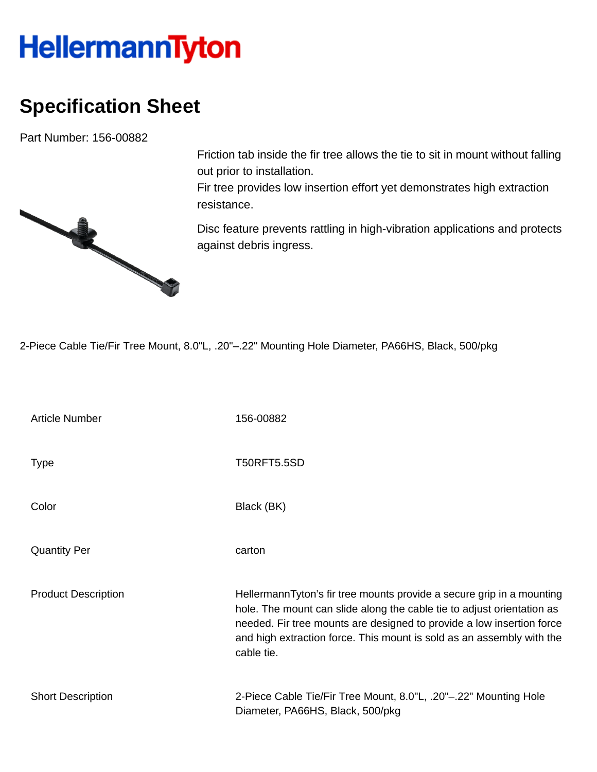## **HellermannTyton**

## **Specification Sheet**

Part Number: 156-00882



Friction tab inside the fir tree allows the tie to sit in mount without falling out prior to installation.

Fir tree provides low insertion effort yet demonstrates high extraction resistance.

Disc feature prevents rattling in high-vibration applications and protects against debris ingress.

2-Piece Cable Tie/Fir Tree Mount, 8.0"L, .20"–.22" Mounting Hole Diameter, PA66HS, Black, 500/pkg

| <b>Article Number</b>      | 156-00882                                                                                                                                                                                                                                                                                                       |
|----------------------------|-----------------------------------------------------------------------------------------------------------------------------------------------------------------------------------------------------------------------------------------------------------------------------------------------------------------|
| <b>Type</b>                | <b>T50RFT5.5SD</b>                                                                                                                                                                                                                                                                                              |
| Color                      | Black (BK)                                                                                                                                                                                                                                                                                                      |
| <b>Quantity Per</b>        | carton                                                                                                                                                                                                                                                                                                          |
| <b>Product Description</b> | HellermannTyton's fir tree mounts provide a secure grip in a mounting<br>hole. The mount can slide along the cable tie to adjust orientation as<br>needed. Fir tree mounts are designed to provide a low insertion force<br>and high extraction force. This mount is sold as an assembly with the<br>cable tie. |
| <b>Short Description</b>   | 2-Piece Cable Tie/Fir Tree Mount, 8.0"L, .20"-.22" Mounting Hole<br>Diameter, PA66HS, Black, 500/pkg                                                                                                                                                                                                            |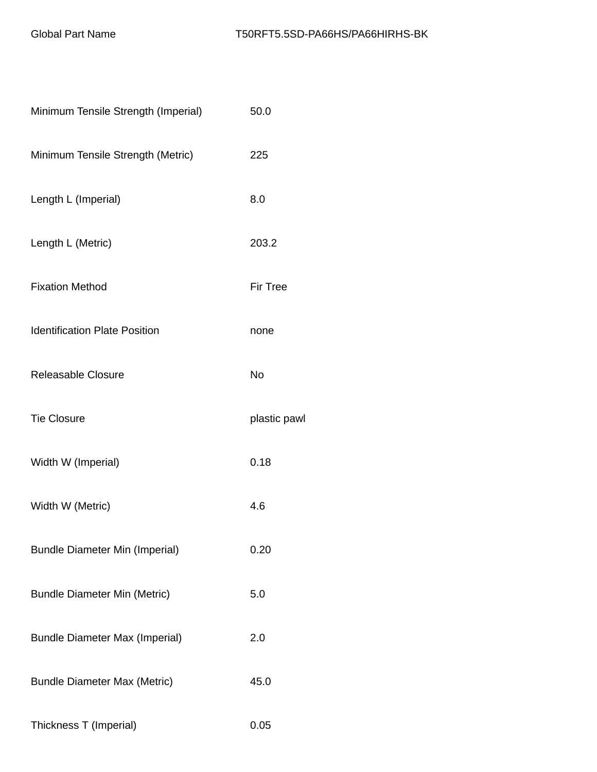| Minimum Tensile Strength (Imperial)   | 50.0            |
|---------------------------------------|-----------------|
| Minimum Tensile Strength (Metric)     | 225             |
| Length L (Imperial)                   | 8.0             |
| Length L (Metric)                     | 203.2           |
| <b>Fixation Method</b>                | <b>Fir Tree</b> |
| <b>Identification Plate Position</b>  | none            |
| Releasable Closure                    | No              |
| <b>Tie Closure</b>                    | plastic pawl    |
| Width W (Imperial)                    | 0.18            |
| Width W (Metric)                      | 4.6             |
| <b>Bundle Diameter Min (Imperial)</b> | 0.20            |
| <b>Bundle Diameter Min (Metric)</b>   | 5.0             |
| <b>Bundle Diameter Max (Imperial)</b> | 2.0             |
| <b>Bundle Diameter Max (Metric)</b>   | 45.0            |
| Thickness T (Imperial)                | 0.05            |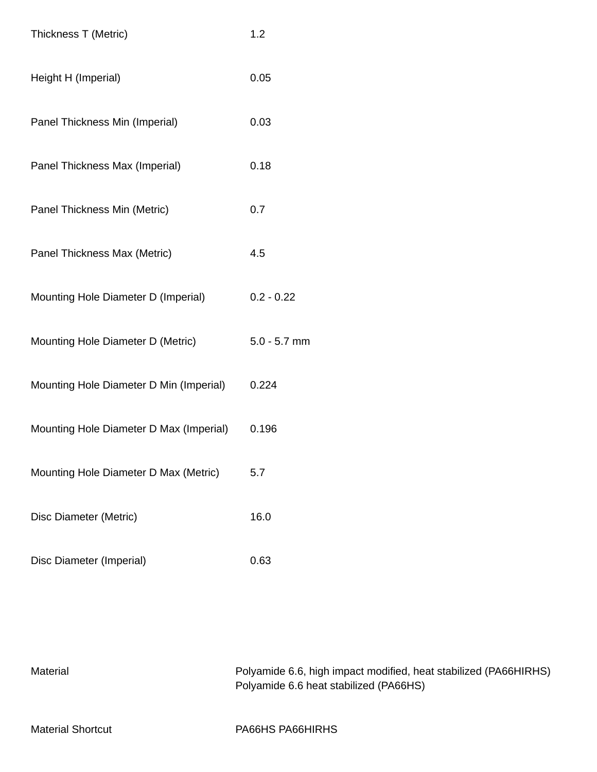| Thickness T (Metric)                    | 1.2            |
|-----------------------------------------|----------------|
| Height H (Imperial)                     | 0.05           |
| Panel Thickness Min (Imperial)          | 0.03           |
| Panel Thickness Max (Imperial)          | 0.18           |
| Panel Thickness Min (Metric)            | 0.7            |
| Panel Thickness Max (Metric)            | 4.5            |
| Mounting Hole Diameter D (Imperial)     | $0.2 - 0.22$   |
| Mounting Hole Diameter D (Metric)       | $5.0 - 5.7$ mm |
| Mounting Hole Diameter D Min (Imperial) | 0.224          |
| Mounting Hole Diameter D Max (Imperial) | 0.196          |
| Mounting Hole Diameter D Max (Metric)   | 5.7            |
| Disc Diameter (Metric)                  | 16.0           |
| Disc Diameter (Imperial)                | 0.63           |

| Material                 | Polyamide 6.6, high impact modified, heat stabilized (PA66HIRHS)<br>Polyamide 6.6 heat stabilized (PA66HS) |
|--------------------------|------------------------------------------------------------------------------------------------------------|
| <b>Material Shortcut</b> | PA66HS PA66HIRHS                                                                                           |